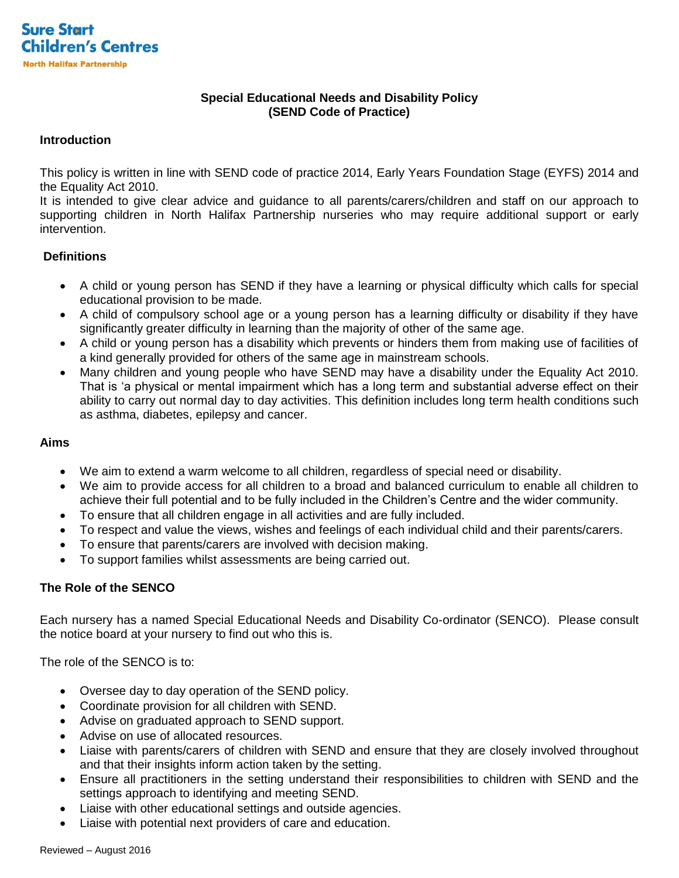

# **Special Educational Needs and Disability Policy (SEND Code of Practice)**

## **Introduction**

This policy is written in line with SEND code of practice 2014, Early Years Foundation Stage (EYFS) 2014 and the Equality Act 2010.

It is intended to give clear advice and guidance to all parents/carers/children and staff on our approach to supporting children in North Halifax Partnership nurseries who may require additional support or early intervention.

# **Definitions**

- A child or young person has SEND if they have a learning or physical difficulty which calls for special educational provision to be made.
- A child of compulsory school age or a young person has a learning difficulty or disability if they have significantly greater difficulty in learning than the majority of other of the same age.
- A child or young person has a disability which prevents or hinders them from making use of facilities of a kind generally provided for others of the same age in mainstream schools.
- Many children and young people who have SEND may have a disability under the Equality Act 2010. That is 'a physical or mental impairment which has a long term and substantial adverse effect on their ability to carry out normal day to day activities. This definition includes long term health conditions such as asthma, diabetes, epilepsy and cancer.

## **Aims**

- We aim to extend a warm welcome to all children, regardless of special need or disability.
- We aim to provide access for all children to a broad and balanced curriculum to enable all children to achieve their full potential and to be fully included in the Children's Centre and the wider community.
- To ensure that all children engage in all activities and are fully included.
- To respect and value the views, wishes and feelings of each individual child and their parents/carers.
- To ensure that parents/carers are involved with decision making.
- To support families whilst assessments are being carried out.

## **The Role of the SENCO**

Each nursery has a named Special Educational Needs and Disability Co-ordinator (SENCO). Please consult the notice board at your nursery to find out who this is.

The role of the SENCO is to:

- Oversee day to day operation of the SEND policy.
- Coordinate provision for all children with SEND.
- Advise on graduated approach to SEND support.
- Advise on use of allocated resources.
- Liaise with parents/carers of children with SEND and ensure that they are closely involved throughout and that their insights inform action taken by the setting.
- Ensure all practitioners in the setting understand their responsibilities to children with SEND and the settings approach to identifying and meeting SEND.
- Liaise with other educational settings and outside agencies.
- Liaise with potential next providers of care and education.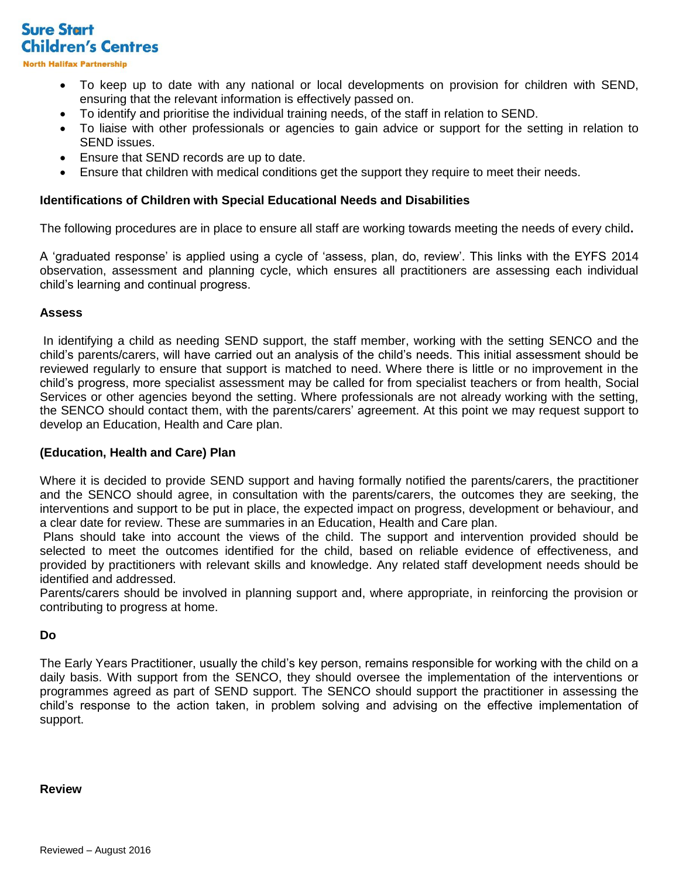**Sure Start Children's Centres** 

**North Halifax Partnership** 

- To keep up to date with any national or local developments on provision for children with SEND, ensuring that the relevant information is effectively passed on.
- To identify and prioritise the individual training needs, of the staff in relation to SEND.
- To liaise with other professionals or agencies to gain advice or support for the setting in relation to SEND issues.
- Ensure that SEND records are up to date.
- Ensure that children with medical conditions get the support they require to meet their needs.

### **Identifications of Children with Special Educational Needs and Disabilities**

The following procedures are in place to ensure all staff are working towards meeting the needs of every child**.**

A 'graduated response' is applied using a cycle of 'assess, plan, do, review'. This links with the EYFS 2014 observation, assessment and planning cycle, which ensures all practitioners are assessing each individual child's learning and continual progress.

#### **Assess**

In identifying a child as needing SEND support, the staff member, working with the setting SENCO and the child's parents/carers, will have carried out an analysis of the child's needs. This initial assessment should be reviewed regularly to ensure that support is matched to need. Where there is little or no improvement in the child's progress, more specialist assessment may be called for from specialist teachers or from health, Social Services or other agencies beyond the setting. Where professionals are not already working with the setting, the SENCO should contact them, with the parents/carers' agreement. At this point we may request support to develop an Education, Health and Care plan.

#### **(Education, Health and Care) Plan**

Where it is decided to provide SEND support and having formally notified the parents/carers, the practitioner and the SENCO should agree, in consultation with the parents/carers, the outcomes they are seeking, the interventions and support to be put in place, the expected impact on progress, development or behaviour, and a clear date for review. These are summaries in an Education, Health and Care plan.

Plans should take into account the views of the child. The support and intervention provided should be selected to meet the outcomes identified for the child, based on reliable evidence of effectiveness, and provided by practitioners with relevant skills and knowledge. Any related staff development needs should be identified and addressed.

Parents/carers should be involved in planning support and, where appropriate, in reinforcing the provision or contributing to progress at home.

#### **Do**

The Early Years Practitioner, usually the child's key person, remains responsible for working with the child on a daily basis. With support from the SENCO, they should oversee the implementation of the interventions or programmes agreed as part of SEND support. The SENCO should support the practitioner in assessing the child's response to the action taken, in problem solving and advising on the effective implementation of support.

## **Review**